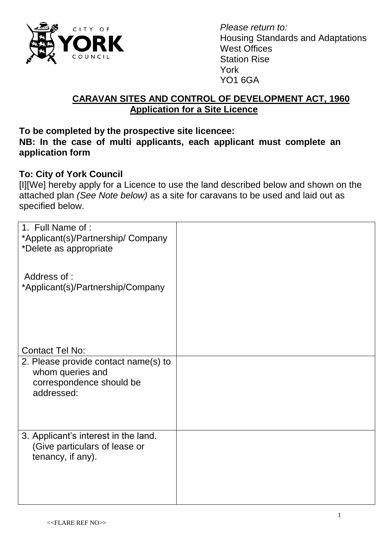

*Please return to:* Housing Standards and Adaptations West Offices Station Rise York YO1 6GA

## **CARAVAN SITES AND CONTROL OF DEVELOPMENT ACT, 1960 Application for a Site Licence**

#### **To be completed by the prospective site licencee: NB: In the case of multi applicants, each applicant must complete an application form**

### **To: City of York Council**

[I][We] hereby apply for a Licence to use the land described below and shown on the attached plan *(See Note below)* as a site for caravans to be used and laid out as specified below.

| 1. Full Name of :<br>*Applicant(s)/Partnership/ Company<br>*Delete as appropriate                  |  |
|----------------------------------------------------------------------------------------------------|--|
| Address of:<br>*Applicant(s)/Partnership/Company                                                   |  |
| <b>Contact Tel No:</b>                                                                             |  |
| 2. Please provide contact name(s) to<br>whom queries and<br>correspondence should be<br>addressed: |  |
| 3. Applicant's interest in the land.<br>(Give particulars of lease or<br>tenancy, if any).         |  |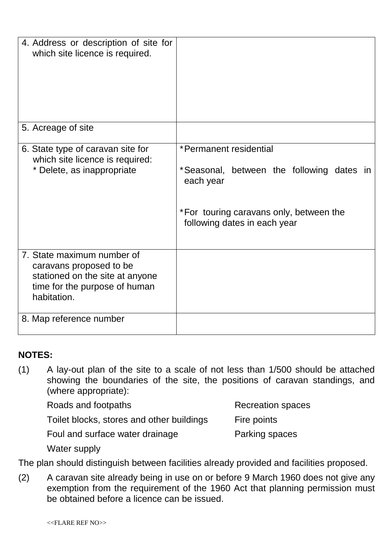| 4. Address or description of site for<br>which site licence is required.                                                                 |                                                                                                                                                             |
|------------------------------------------------------------------------------------------------------------------------------------------|-------------------------------------------------------------------------------------------------------------------------------------------------------------|
| 5. Acreage of site                                                                                                                       |                                                                                                                                                             |
| 6. State type of caravan site for<br>which site licence is required:<br>* Delete, as inappropriate                                       | *Permanent residential<br>*Seasonal, between the following dates in<br>each year<br>*For touring caravans only, between the<br>following dates in each year |
| 7. State maximum number of<br>caravans proposed to be<br>stationed on the site at anyone<br>time for the purpose of human<br>habitation. |                                                                                                                                                             |
| 8. Map reference number                                                                                                                  |                                                                                                                                                             |

# **NOTES:**

(1) A lay-out plan of the site to a scale of not less than 1/500 should be attached showing the boundaries of the site, the positions of caravan standings, and (where appropriate):

| Roads and footpaths                       | <b>Recreation spaces</b> |
|-------------------------------------------|--------------------------|
| Toilet blocks, stores and other buildings | Fire points              |
| Foul and surface water drainage           | Parking spaces           |

Water supply

The plan should distinguish between facilities already provided and facilities proposed.

(2) A caravan site already being in use on or before 9 March 1960 does not give any exemption from the requirement of the 1960 Act that planning permission must be obtained before a licence can be issued.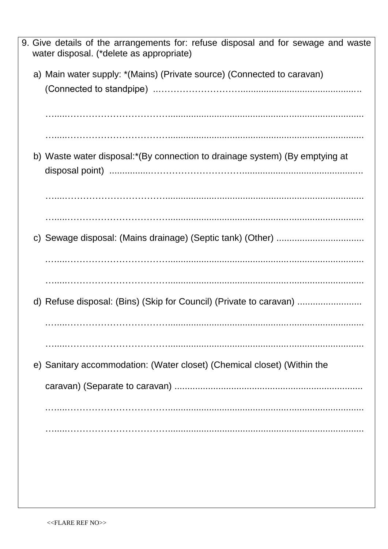|  | 9. Give details of the arrangements for: refuse disposal and for sewage and waste<br>water disposal. (*delete as appropriate) |
|--|-------------------------------------------------------------------------------------------------------------------------------|
|  | a) Main water supply: *(Mains) (Private source) (Connected to caravan)                                                        |
|  |                                                                                                                               |
|  | b) Waste water disposal:*(By connection to drainage system) (By emptying at                                                   |
|  |                                                                                                                               |
|  |                                                                                                                               |
|  |                                                                                                                               |
|  | d) Refuse disposal: (Bins) (Skip for Council) (Private to caravan)                                                            |
|  |                                                                                                                               |
|  | e) Sanitary accommodation: (Water closet) (Chemical closet) (Within the                                                       |
|  |                                                                                                                               |
|  |                                                                                                                               |
|  |                                                                                                                               |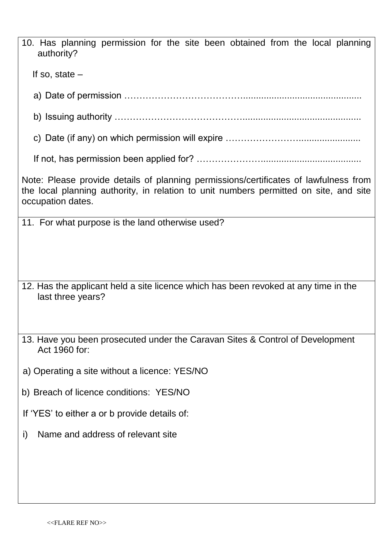| 10. Has planning permission for the site been obtained from the local planning<br>authority?                                                                                                       |  |  |  |  |  |
|----------------------------------------------------------------------------------------------------------------------------------------------------------------------------------------------------|--|--|--|--|--|
| If so, state $-$                                                                                                                                                                                   |  |  |  |  |  |
|                                                                                                                                                                                                    |  |  |  |  |  |
|                                                                                                                                                                                                    |  |  |  |  |  |
|                                                                                                                                                                                                    |  |  |  |  |  |
|                                                                                                                                                                                                    |  |  |  |  |  |
| Note: Please provide details of planning permissions/certificates of lawfulness from<br>the local planning authority, in relation to unit numbers permitted on site, and site<br>occupation dates. |  |  |  |  |  |
| 11. For what purpose is the land otherwise used?                                                                                                                                                   |  |  |  |  |  |
| 12. Has the applicant held a site licence which has been revoked at any time in the<br>last three years?                                                                                           |  |  |  |  |  |
| 13. Have you been prosecuted under the Caravan Sites & Control of Development<br>Act 1960 for:                                                                                                     |  |  |  |  |  |
| a) Operating a site without a licence: YES/NO                                                                                                                                                      |  |  |  |  |  |
| b) Breach of licence conditions: YES/NO                                                                                                                                                            |  |  |  |  |  |
| If 'YES' to either a or b provide details of:                                                                                                                                                      |  |  |  |  |  |
| Name and address of relevant site<br>i)                                                                                                                                                            |  |  |  |  |  |
|                                                                                                                                                                                                    |  |  |  |  |  |
|                                                                                                                                                                                                    |  |  |  |  |  |
|                                                                                                                                                                                                    |  |  |  |  |  |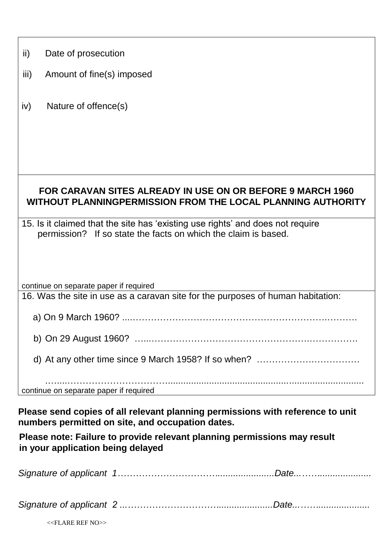| ii)<br>Date of prosecution                                                                                                                       |  |  |  |
|--------------------------------------------------------------------------------------------------------------------------------------------------|--|--|--|
| iii)<br>Amount of fine(s) imposed                                                                                                                |  |  |  |
| iv)<br>Nature of offence(s)                                                                                                                      |  |  |  |
|                                                                                                                                                  |  |  |  |
|                                                                                                                                                  |  |  |  |
| FOR CARAVAN SITES ALREADY IN USE ON OR BEFORE 9 MARCH 1960<br>WITHOUT PLANNINGPERMISSION FROM THE LOCAL PLANNING AUTHORITY                       |  |  |  |
| 15. Is it claimed that the site has 'existing use rights' and does not require<br>permission? If so state the facts on which the claim is based. |  |  |  |
|                                                                                                                                                  |  |  |  |
| continue on separate paper if required<br>16. Was the site in use as a caravan site for the purposes of human habitation:                        |  |  |  |
|                                                                                                                                                  |  |  |  |
|                                                                                                                                                  |  |  |  |
|                                                                                                                                                  |  |  |  |
| continue on separate paper if required                                                                                                           |  |  |  |
| Please send copies of all relevant planning permissions with reference to unit<br>numbers permitted on site, and occupation dates.               |  |  |  |
| Please note: Failure to provide relevant planning permissions may result<br>in your application being delayed                                    |  |  |  |

| $<<$ FLARE REF NO $>>$ |  |
|------------------------|--|
|                        |  |